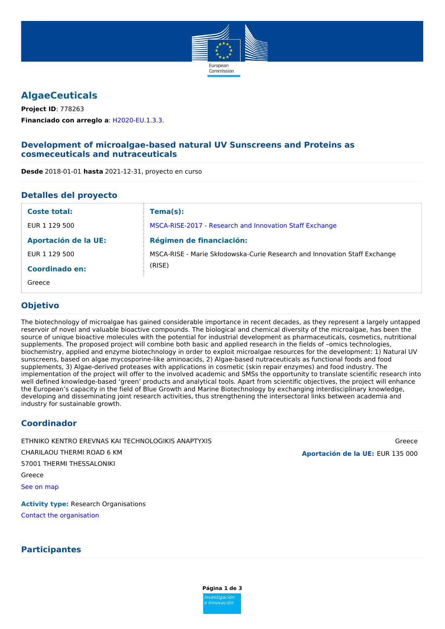

# **AlgaeCeuticals**

**Financiado con arreglo a**: [H2020-EU.1.3.3.](https://cordis.europa.eu/programme/rcn/664115_en.html) **Project ID**: 778263

## **Development of microalgae-based natural UV Sunscreens and Proteins as cosmeceuticals and nutraceuticals**

### **Detalles del proyecto**

| Coste total:                | $Tema(s)$ :                                                               |
|-----------------------------|---------------------------------------------------------------------------|
| EUR 1 129 500               | MSCA-RISE-2017 - Research and Innovation Staff Exchange                   |
| <b>Aportación de la UE:</b> | <b>Régimen de financiación:</b>                                           |
| EUR 1 129 500               | MSCA-RISE - Marie Skłodowska-Curie Research and Innovation Staff Exchange |
| Coordinado en:              | (RISE)                                                                    |
| Greece                      |                                                                           |

## **Objetivo**

The biotechnology of microalgae has gained considerable importance in recent decades, as they represent a largely untapped reservoir of novel and valuable bioactive compounds. The biological and chemical diversity of the microalgae, has been the source of unique bioactive molecules with the potential for industrial development as pharmaceuticals, cosmetics, nutritional supplements. The proposed project will combine both basic and applied research in the fields of –omics technologies, biochemistry, applied and enzyme biotechnology in order to exploit microalgae resources for the development: 1) Natural UV sunscreens, based on algae mycosporine-like aminoacids, 2) Algae-based nutraceuticals as functional foods and food supplements, 3) Algae-derived proteases with applications in cosmetic (skin repair enzymes) and food industry. The implementation of the project will offer to the involved academic and SMSs the opportunity to translate scientific research into well defined knowledge-based 'green' products and analytical tools. Apart from scientific objectives, the project will enhance the European's capacity in the field of Blue Growth and Marine Biotechnology by exchanging interdisciplinary knowledge, developing and disseminating joint research activities, thus strengthening the intersectoral links between academia and industry for sustainable growth.

## **Coordinador**

CHARILAOU THERMI ROAD 6 KM 57001 THERMI THESSALONIKI Greece See on [map](https://www.openstreetmap.org/?mlat=40.5472188&mlon=23.0219745#map=12/40.5472188/23.0219745) ETHNIKO KENTRO EREVNAS KAI TECHNOLOGIKIS ANAPTYXIS Greece

**Activity type:** Research Organisations Contact the [organisation](https://ec.europa.eu/research/participants/api/contact/indexcontactproject.html?pic=998802502&projectId=778263&programId=31045243)

## **Participantes**

**Aportación de la UE:** EUR 135 000

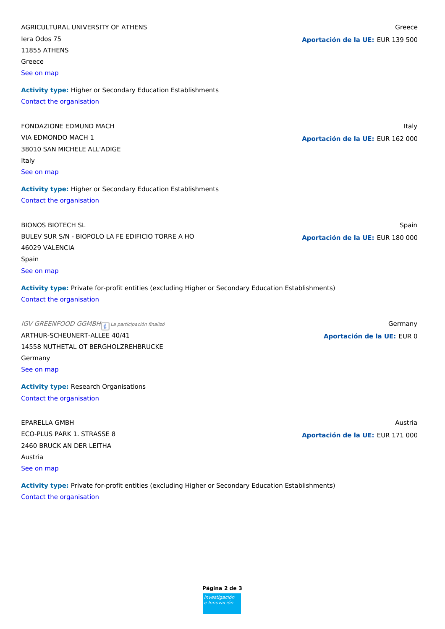| AGRICULTURAL UNIVERSITY OF ATHENS                                                                   | Greece                           |
|-----------------------------------------------------------------------------------------------------|----------------------------------|
| lera Odos 75                                                                                        | Aportación de la UE: EUR 139 500 |
| <b>11855 ATHENS</b>                                                                                 |                                  |
| Greece                                                                                              |                                  |
| See on map                                                                                          |                                  |
| <b>Activity type: Higher or Secondary Education Establishments</b>                                  |                                  |
| Contact the organisation                                                                            |                                  |
| FONDAZIONE EDMUND MACH                                                                              | Italy                            |
| VIA EDMONDO MACH 1                                                                                  | Aportación de la UE: EUR 162 000 |
| 38010 SAN MICHELE ALL'ADIGE                                                                         |                                  |
| Italy                                                                                               |                                  |
| See on map                                                                                          |                                  |
| <b>Activity type: Higher or Secondary Education Establishments</b>                                  |                                  |
| Contact the organisation                                                                            |                                  |
| <b>BIONOS BIOTECH SL</b>                                                                            | Spain                            |
| BULEV SUR S/N - BIOPOLO LA FE EDIFICIO TORRE A HO                                                   | Aportación de la UE: EUR 180 000 |
| 46029 VALENCIA                                                                                      |                                  |
| Spain                                                                                               |                                  |
| See on map                                                                                          |                                  |
| Activity type: Private for-profit entities (excluding Higher or Secondary Education Establishments) |                                  |
| Contact the organisation                                                                            |                                  |
| IGV GREENFOOD GGMBH <sub>1</sub> La participación finalizó                                          | Germany                          |
| ARTHUR-SCHEUNERT-ALLEE 40/41                                                                        | Aportación de la UE: EUR 0       |
| 14558 NUTHETAL OT BERGHOLZREHBRUCKE                                                                 |                                  |
| Germany                                                                                             |                                  |
| See on map                                                                                          |                                  |
| <b>Activity type: Research Organisations</b>                                                        |                                  |
| Contact the organisation                                                                            |                                  |
| <b>EPARELLA GMBH</b>                                                                                | Austria                          |
| ECO-PLUS PARK 1. STRASSE 8                                                                          | Aportación de la UE: EUR 171 000 |
| 2460 BRUCK AN DER LEITHA                                                                            |                                  |
| Austria                                                                                             |                                  |
| See on map                                                                                          |                                  |
| Activity type: Private for-profit entities (excluding Higher or Secondary Education Establishments) |                                  |

Contact the [organisation](https://ec.europa.eu/research/participants/api/contact/indexcontactproject.html?pic=911736175&projectId=778263&programId=31045243)

**Página 2 de 3** Investigación e Innovación